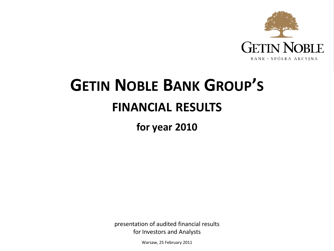

# **GETIN NOBLE BANK GROUP'S FINANCIAL RESULTS**

**for year 2010**

presentation of audited financial results for Investors and Analysts

Warsaw, 25 February 2011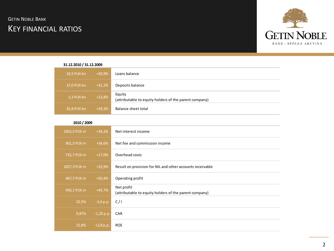# KEY FINANCIAL RATIOS **GETIN NOBLE BANK**



| 31.12.2010 / 31.12.2009 |          |                                                                  |
|-------------------------|----------|------------------------------------------------------------------|
| 33,5 PLN bn             | $+30,9%$ | Loans balance                                                    |
| 37,0 PLN bn             | $+31,2%$ | Deposits balance                                                 |
| 3,3 PLN bn              | $+13,8%$ | Equity<br>(attributable to equity holders of the parent company) |
| 42,8 PLN bn             | $+29,3%$ | Balance sheet total                                              |

|  | 2010 / 2009 |
|--|-------------|
|--|-------------|

| <b>ZUIU / ZUUY</b> |              |                                                                      |
|--------------------|--------------|----------------------------------------------------------------------|
| 1052,5 PLN m       | $+34,2%$     | Net interest income                                                  |
| 961,5 PLN m        | $+34,6%$     | Net fee and commission income                                        |
| 732,7 PLN m        | $+17,0%$     | Overhead costs                                                       |
| 1057,3 PLN m       | $+32,9%$     | Result on provision for NIL and other accounts receivable            |
| 467,7 PLN m        | $+50,4%$     | Operating profit                                                     |
| 450,1 PLN m        | $+45,7%$     | Net profit<br>(attributable to equity holders of the parent company) |
| 32,5%              | $-3,6 p.p.$  | C/1                                                                  |
| 9,87%              | $-1,25$ p.p. | CAR                                                                  |
| 15,8%              | $+2,8$ p.p.  | <b>ROE</b>                                                           |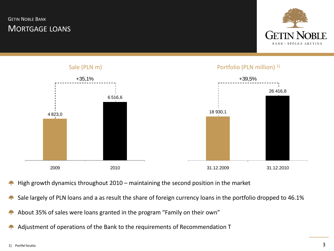# MORTGAGE LOANS **GETIN NOBLE BANK**





- High growth dynamics throughout 2010 maintaining the second position in the market
- Sale largely of PLN loans and a as result the share of foreign currency loans in the portfolio dropped to 46.1%
- About 35% of sales were loans granted in the program "Family on their own"
- Adjustment of operations of the Bank to the requirements of Recommendation T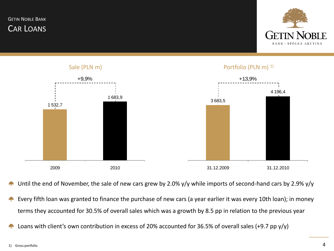CAR LOANS **GETIN NOBLE BANK** 





Until the end of November, the sale of new cars grew by 2.0% y/y while imports of second-hand cars by 2.9% y/y

- Every fifth loan was granted to finance the purchase of new cars (a year earlier it was every 10th loan); in money terms they accounted for 30.5% of overall sales which was a growth by 8.5 pp in relation to the previous year
- Loans with client's own contribution in excess of 20% accounted for 36.5% of overall sales (+9.7 pp y/y)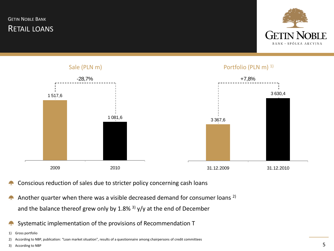**GETIN NOBLE BANK** 

RETAIL LOANS





- Conscious reduction of sales due to stricter policy concerning cash loans
- Another quarter when there was a visible decreased demand for consumer loans 2) **Alpha** and the balance thereof grew only by 1.8% <sup>3)</sup>  $y/y$  at the end of December
- Systematic implementation of the provisions of Recommendation T
- 1) Gross portfolio

2) According to NBP, publication: "Loan market situation", results of a questionnaire among chairpersons of credit committees

3) According to NBP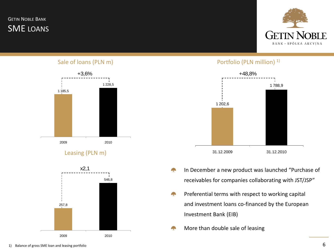SME LOANS **GETIN NOBLE BANK** 



#### Sale of loans (PLN m)



Leasing (PLN m)



#### Portfolio (PLN million)<sup>1)</sup>



- In December a new product was launched "Purchase of receivables for companies collaborating with JST/JSP"
- **September** Preferential terms with respect to working capital and investment loans co-financed by the European Investment Bank (EIB)
- More than double sale of leasing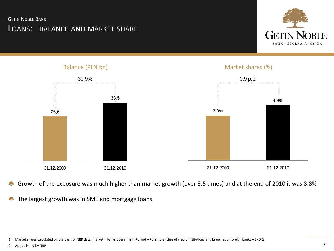#### **GETIN NOBLE BANK**

# LOANS: BALANCE AND MARKET SHARE





- Growth of the exposure was much higher than market growth (over 3.5 times) and at the end of 2010 it was 8.8% **A**
- The largest growth was in SME and mortgage loans 4<sup>2</sup>

2) As published by NBP

<sup>1)</sup> Market shares calculated on the basis of NBP data (market = banks operating in Poland + Polish branches of credit institutions and branches of foreign banks + SKOKs)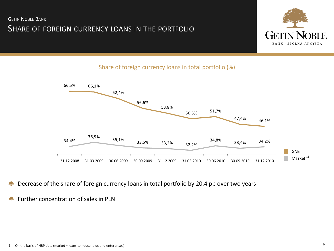

### Share of foreign currency loans in total portfolio (%)



- Decrease of the share of foreign currency loans in total portfolio by 20.4 pp over two years 42
- Further concentration of sales in PLN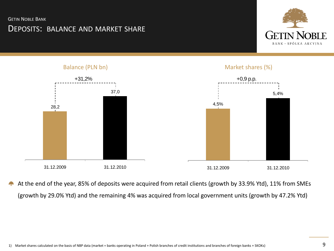#### **GETIN NOBLE BANK**

# DEPOSITS: BALANCE AND MARKET SHARE





At the end of the year, 85% of deposits were acquired from retail clients (growth by 33.9% Ytd), 11% from SMEs A<sub>r</sub>e (growth by 29.0% Ytd) and the remaining 4% was acquired from local government units (growth by 47.2% Ytd)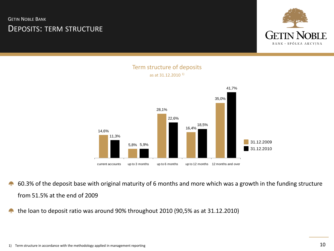DEPOSITS: TERM STRUCTURE **GETIN NOBLE BANK** 



#### Term structure of deposits as at 31.12.2010 1)



- 60.3% of the deposit base with original maturity of 6 months and more which was a growth in the funding structure from 51.5% at the end of 2009
- the loan to deposit ratio was around 90% throughout 2010 (90,5% as at 31.12.2010) **Sept.**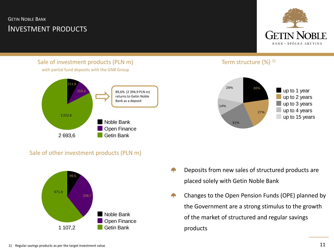# INVESTMENT PRODUCTS **GETIN NOBLE BANK**



Sale of investment products (PLN m) with partial fund deposits with the GNB Group



Term structure  $(\%)$ <sup>1)</sup>



#### Sale of other investment products (PLN m)



- Deposits from new sales of structured products are placed solely with Getin Noble Bank
- Changes to the Open Pension Funds (OPE) planned by the Government are a strong stimulus to the growth of the market of structured and regular savings products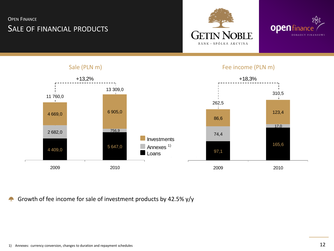# SALE OF FINANCIAL PRODUCTS **OPEN FINANCE**





#### Sale (PLN m) Fee income (PLN m) +13,2% +18,3% 13 309,0 310,5 11 760,0 ÷ 262,5 6 905,0 4 669,0 123,4 86,6 17,0 756,9 2 682,0 74,4 Investments 165,6 Annexes<sup>1)</sup> 5 647,0 4 409,0 97,1  $\begin{array}{|c|c|c|}\n \hline\n & 97,1 \\
\hline\n & 2009 & 2010 \\
\hline\n\end{array}$ 2009 2010

Growth of fee income for sale of investment products by 42.5% y/y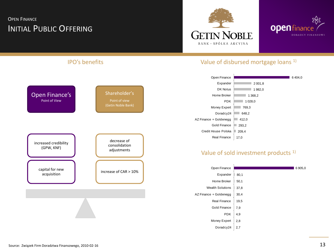# INITIAL PUBLIC OFFERING **OPEN FINANCE**



Doradcy  $24 \mid 2,7$ 



6 404,0

6 905,0

#### IPO's benefits Value of disbursed mortgage loans 1) Value of sold investment products<sup>1)</sup> 2 001,8 1 982,0 1 368.2  $1028.0$  $1769,3$  $648,2$  $1412,0$ 293.2 209,4 17,0 Open Finance Expander DK Notus Home Broker PDK Money Expert Doradcy24 AZ Finance + Goldenegg Gold Finance Credit House Polska Real Finance 80,1 50,1 37,8 30,4 19,5 7,9 4,9 2,8 Open Finance Expander Home Broker Wealth Solutions AZ Finance + Goldenegg Real Finance Gold Finance PDK Money Expert Open Finance's Point of View Shareholder's Point of view (Getin Noble Bank) increase of CAR > 10% decrease of consolidation adjustments capital for new acquisition increased credibility (GPW, KNF)

#### Source: Związek Firm Doradztwa Finansowego, 2010-02-16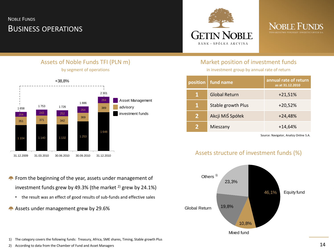# BUSINESS OPERATIONS NOBLE FUNDS





#### Market position of investment funds

in investment group by annual rate of return

| position       | fund name            | annual rate of return<br>as at 31.12.2010 |
|----------------|----------------------|-------------------------------------------|
| 1              | <b>Global Return</b> | $+21,51%$                                 |
| 1              | Stable growth Plus   | $+20,52%$                                 |
| $\overline{2}$ | Akcji MiŚ Spółek     | $+24,48%$                                 |
| $\mathcal{P}$  | Mieszany             | $+14,64%$                                 |

Source: Navigator, Analizy Online S.A.

### Assets structure of investment funds (%)



- **From the beginning of the year, assets under management of** investment funds grew by 49.3% (the market  $^{2}$ ) grew by 24.1%)
	- the result was an effect of good results of sub-funds and effective sales
- Assets under management grew by 29.6%

1) The category covers the following funds: Treasury, Africa, SME shares, Timing, Stable growth Plus

2) According to data from the Chamber of Fund and Asset Managers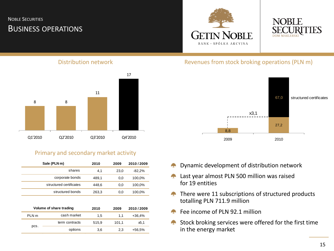# BUSINESS OPERATIONS NOBLE SECURITIES





#### Distribution network



#### Primary and secondary market activity

|                  | 8                       | 8                                     |             |              |                       |                       |
|------------------|-------------------------|---------------------------------------|-------------|--------------|-----------------------|-----------------------|
|                  |                         |                                       |             |              |                       |                       |
|                  |                         |                                       |             |              |                       | 8,8                   |
|                  | Q1'2010                 | Q2'2010                               | Q3'2010     |              | Q4'2010               | 2009                  |
|                  |                         | Primary and secondary market activity |             |              |                       |                       |
|                  | Sale (PLN m)<br>shares  |                                       | 2010<br>4,1 | 2009<br>23,0 | 2010/2009<br>$-82,2%$ | Dynamic developmer    |
|                  | corporate bonds         |                                       | 489,1       | 0,0          | 100,0%                | Last year almost PLN  |
|                  | structured certificates |                                       | 448,6       | 0,0          | 100,0%                | for 19 entities       |
|                  | structured bonds        |                                       | 263,3       | 0,0          | 100,0%                | There were 11 subsc   |
|                  |                         |                                       |             |              |                       | totalling PLN 711.9 m |
|                  | Volume of share trading |                                       | 2010        | 2009         | 2010/2009             | Fee income of PLN 92  |
| PLN <sub>m</sub> |                         | cash market                           | 1,5         | 1,1          | $+36,4%$              |                       |
|                  | pcs.                    | term contracts                        | 515,9       | 101,1        | x5.1                  | Stock broking service |
|                  |                         | options                               | 3,6         | 2,3          | +56,5%                | in the energy market  |
|                  |                         |                                       |             |              |                       |                       |

#### Revenues from stock broking operations (PLN m)



- Dynamic development of distribution network
- Last year almost PLN 500 million was raised for 19 entities
- There were 11 subscriptions of structured products totalling PLN 711.9 million
- Fee income of PLN 92.1 million
- Stock broking services were offered for the first time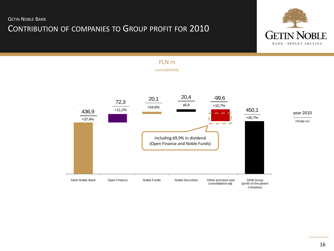# CONTRIBUTION OF COMPANIES TO GROUP PROFIT FOR 2010



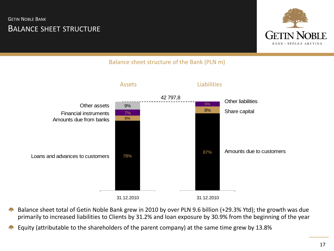# BALANCE SHEET STRUCTURE **GETIN NOBLE BANK**



## Balance sheet structure of the Bank (PLN m)



- Balance sheet total of Getin Noble Bank grew in 2010 by over PLN 9.6 billion (+29.3% Ytd); the growth was due 43 primarily to increased liabilities to Clients by 31.2% and loan exposure by 30.9% from the beginning of the year
-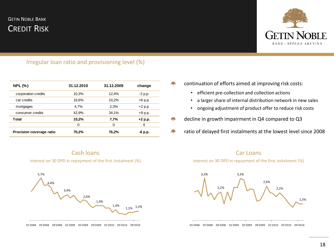# CREDIT RISK **GETIN NOBLE BANK**



#### Irregular loan ratio and provisioning level (%)

| <b>NPL (%)</b>           | 31.12.2010 | 31.12.2009 | change    |  |
|--------------------------|------------|------------|-----------|--|
| corporation credits      | 10,3%      | 12.4%      | $-2$ p.p. |  |
| car credits              | 16,6%      | 10.2%      | $+6$ p.p. |  |
| mortgages                | 4,7%       | 2,3%       | $+2 p.p.$ |  |
| consumer credits         | 42,9%      | 34,1%      | $+9$ p.p. |  |
| Total                    | 10,2%      | 7,7%       | $+2 p.p.$ |  |
|                          | 0          | 0          | 0         |  |
| Provision coverage ratio | 70,2%      | 76,2%      | -6 p.p.   |  |
|                          |            |            |           |  |

continuation of efforts aimed at improving risk costs: a a

- efficient pre-collection and collection actions
- a larger share of internal distribution network in new sales
- ongoing adjustment of product offer to reduce risk costs
- decline in growth impairment in Q4 compared to Q3
- ratio of delayed first instalments at the lowest level since 2008 42







interest on 30 DPD in repayment of the first instalment (%)

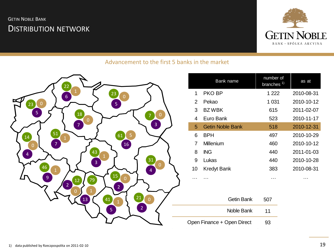# DISTRIBUTION NETWORK **GETIN NOBLE BANK**



## Advancement to the first 5 banks in the market



|    | Bank name               | number of<br>branches <sup>1)</sup> | as at      |
|----|-------------------------|-------------------------------------|------------|
| 1  | PKO BP                  | 1 222                               | 2010-08-31 |
| 2  | Pekao                   | 1 031                               | 2010-10-12 |
| 3  | <b>BZWBK</b>            | 615                                 | 2011-02-07 |
| 4  | Euro Bank               | 523                                 | 2010-11-17 |
| 5  | <b>Getin Noble Bank</b> | 518                                 | 2010-12-31 |
| 6  | BPH                     | 497                                 | 2010-10-29 |
| 7  | Millenium               | 460                                 | 2010-10-12 |
| 8  | <b>ING</b>              | 440                                 | 2011-01-03 |
| 9  | Lukas                   | 440                                 | 2010-10-28 |
| 10 | <b>Kredyt Bank</b>      | 383                                 | 2010-08-31 |
|    | .                       | $\cdots$                            | .          |

| Getin Bank                 | 507 |
|----------------------------|-----|
| Noble Bank                 | 11  |
| Open Finance + Open Direct | 93  |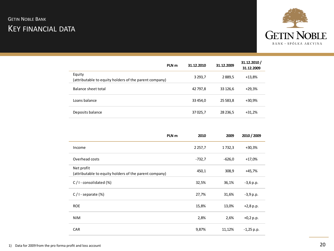# KEY FINANCIAL DATA **GETIN NOBLE BANK**



|                                                                  | PLN <sub>m</sub> | 31.12.2010  | 31.12.2009 | 31.12.2010/<br>31.12.2009 |
|------------------------------------------------------------------|------------------|-------------|------------|---------------------------|
| Equity<br>(attributable to equity holders of the parent company) |                  | 3 2 9 3 , 7 | 2889,5     | $+13,8%$                  |
| Balance sheet total                                              |                  | 42 797,8    | 33 126,6   | $+29,3%$                  |
| Loans balance                                                    |                  | 33 454,0    | 25 583,8   | +30,9%                    |
| Deposits balance                                                 |                  | 37 0 25,7   | 28 236,5   | $+31,2%$                  |

|                                                                      | PLN <sub>m</sub> | 2010       | 2009     | 2010 / 2009  |
|----------------------------------------------------------------------|------------------|------------|----------|--------------|
| Income                                                               |                  | 2 2 5 7, 7 | 1732,3   | $+30,3%$     |
| Overhead costs                                                       |                  | $-732,7$   | $-626,0$ | $+17,0%$     |
| Net profit<br>(attributable to equity holders of the parent company) |                  | 450,1      | 308,9    | +45,7%       |
| $C/I$ - consolidated $(\%)$                                          |                  | 32,5%      | 36,1%    | $-3,6$ p.p.  |
| $C/I$ - separate $(\%)$                                              |                  | 27,7%      | 31,6%    | $-3,9$ p.p.  |
| <b>ROE</b>                                                           |                  | 15,8%      | 13,0%    | $+2,8$ p.p.  |
| <b>NIM</b>                                                           |                  | 2,8%       | 2,6%     | $+0,2 p.p.$  |
| <b>CAR</b>                                                           |                  | 9,87%      | 11,12%   | $-1,25$ p.p. |